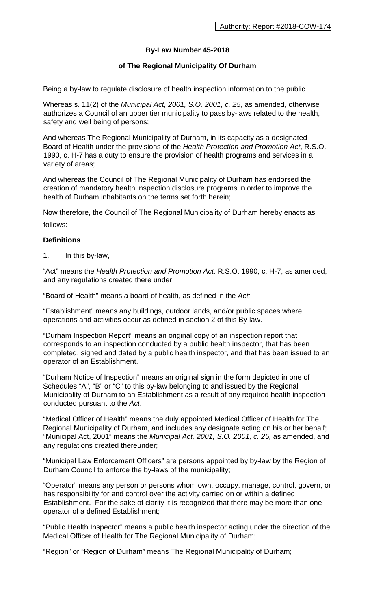# **By-Law Number 45-2018**

## **of The Regional Municipality Of Durham**

Being a by-law to regulate disclosure of health inspection information to the public.

Whereas s. 11(2) of the *Municipal Act, 2001, S.O. 2001, c. 25*, as amended, otherwise authorizes a Council of an upper tier municipality to pass by-laws related to the health, safety and well being of persons;

And whereas The Regional Municipality of Durham, in its capacity as a designated Board of Health under the provisions of the *Health Protection and Promotion Act*, R.S.O. 1990, c. H-7 has a duty to ensure the provision of health programs and services in a variety of areas;

And whereas the Council of The Regional Municipality of Durham has endorsed the creation of mandatory health inspection disclosure programs in order to improve the health of Durham inhabitants on the terms set forth herein;

Now therefore, the Council of The Regional Municipality of Durham hereby enacts as follows:

### **Definitions**

1. In this by-law,

"Act" means the *Health Protection and Promotion Act,* R.S.O. 1990, c. H-7, as amended, and any regulations created there under;

"Board of Health" means a board of health, as defined in the *Act;*

"Establishment" means any buildings, outdoor lands, and/or public spaces where operations and activities occur as defined in section 2 of this By-law.

"Durham Inspection Report" means an original copy of an inspection report that corresponds to an inspection conducted by a public health inspector, that has been completed, signed and dated by a public health inspector, and that has been issued to an operator of an Establishment.

"Durham Notice of Inspection" means an original sign in the form depicted in one of Schedules "A", "B" or "C" to this by-law belonging to and issued by the Regional Municipality of Durham to an Establishment as a result of any required health inspection conducted pursuant to the *Act*.

"Medical Officer of Health" means the duly appointed Medical Officer of Health for The Regional Municipality of Durham, and includes any designate acting on his or her behalf; "Municipal Act, 2001" means the *Municipal Act, 2001, S.O. 2001, c. 25,* as amended, and any regulations created thereunder;

"Municipal Law Enforcement Officers" are persons appointed by by-law by the Region of Durham Council to enforce the by-laws of the municipality;

"Operator" means any person or persons whom own, occupy, manage, control, govern, or has responsibility for and control over the activity carried on or within a defined Establishment. For the sake of clarity it is recognized that there may be more than one operator of a defined Establishment;

"Public Health Inspector" means a public health inspector acting under the direction of the Medical Officer of Health for The Regional Municipality of Durham;

"Region" or "Region of Durham" means The Regional Municipality of Durham;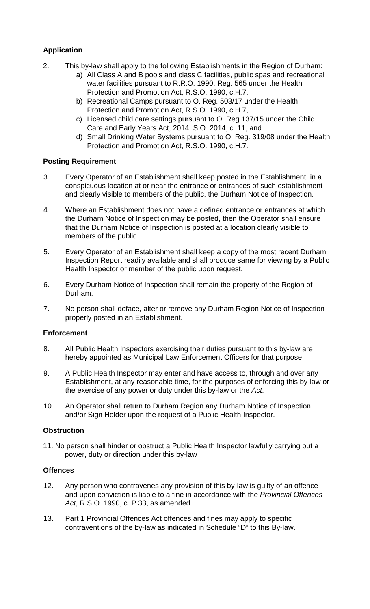# **Application**

- 2. This by-law shall apply to the following Establishments in the Region of Durham:
	- a) All Class A and B pools and class C facilities, public spas and recreational water facilities pursuant to R.R.O. 1990, Reg. 565 under the Health Protection and Promotion Act, R.S.O. 1990, c.H.7,
	- b) Recreational Camps pursuant to O. Reg. 503/17 under the Health Protection and Promotion Act, R.S.O. 1990, c.H.7,
	- c) Licensed child care settings pursuant to O. Reg 137/15 under the Child Care and Early Years Act, 2014, S.O. 2014, c. 11, and
	- d) Small Drinking Water Systems pursuant to O. Reg. 319/08 under the Health Protection and Promotion Act, R.S.O. 1990, c.H.7.

### **Posting Requirement**

- 3. Every Operator of an Establishment shall keep posted in the Establishment, in a conspicuous location at or near the entrance or entrances of such establishment and clearly visible to members of the public, the Durham Notice of Inspection.
- 4. Where an Establishment does not have a defined entrance or entrances at which the Durham Notice of Inspection may be posted, then the Operator shall ensure that the Durham Notice of Inspection is posted at a location clearly visible to members of the public.
- 5. Every Operator of an Establishment shall keep a copy of the most recent Durham Inspection Report readily available and shall produce same for viewing by a Public Health Inspector or member of the public upon request.
- 6. Every Durham Notice of Inspection shall remain the property of the Region of Durham.
- 7. No person shall deface, alter or remove any Durham Region Notice of Inspection properly posted in an Establishment.

#### **Enforcement**

- 8. All Public Health Inspectors exercising their duties pursuant to this by-law are hereby appointed as Municipal Law Enforcement Officers for that purpose.
- 9. A Public Health Inspector may enter and have access to, through and over any Establishment, at any reasonable time, for the purposes of enforcing this by-law or the exercise of any power or duty under this by-law or the *Act*.
- 10. An Operator shall return to Durham Region any Durham Notice of Inspection and/or Sign Holder upon the request of a Public Health Inspector.

#### **Obstruction**

11. No person shall hinder or obstruct a Public Health Inspector lawfully carrying out a power, duty or direction under this by-law

### **Offences**

- 12. Any person who contravenes any provision of this by-law is guilty of an offence and upon conviction is liable to a fine in accordance with the *Provincial Offences Act*, R.S.O. 1990, c. P.33, as amended.
- 13. Part 1 Provincial Offences Act offences and fines may apply to specific contraventions of the by-law as indicated in Schedule "D" to this By-law.